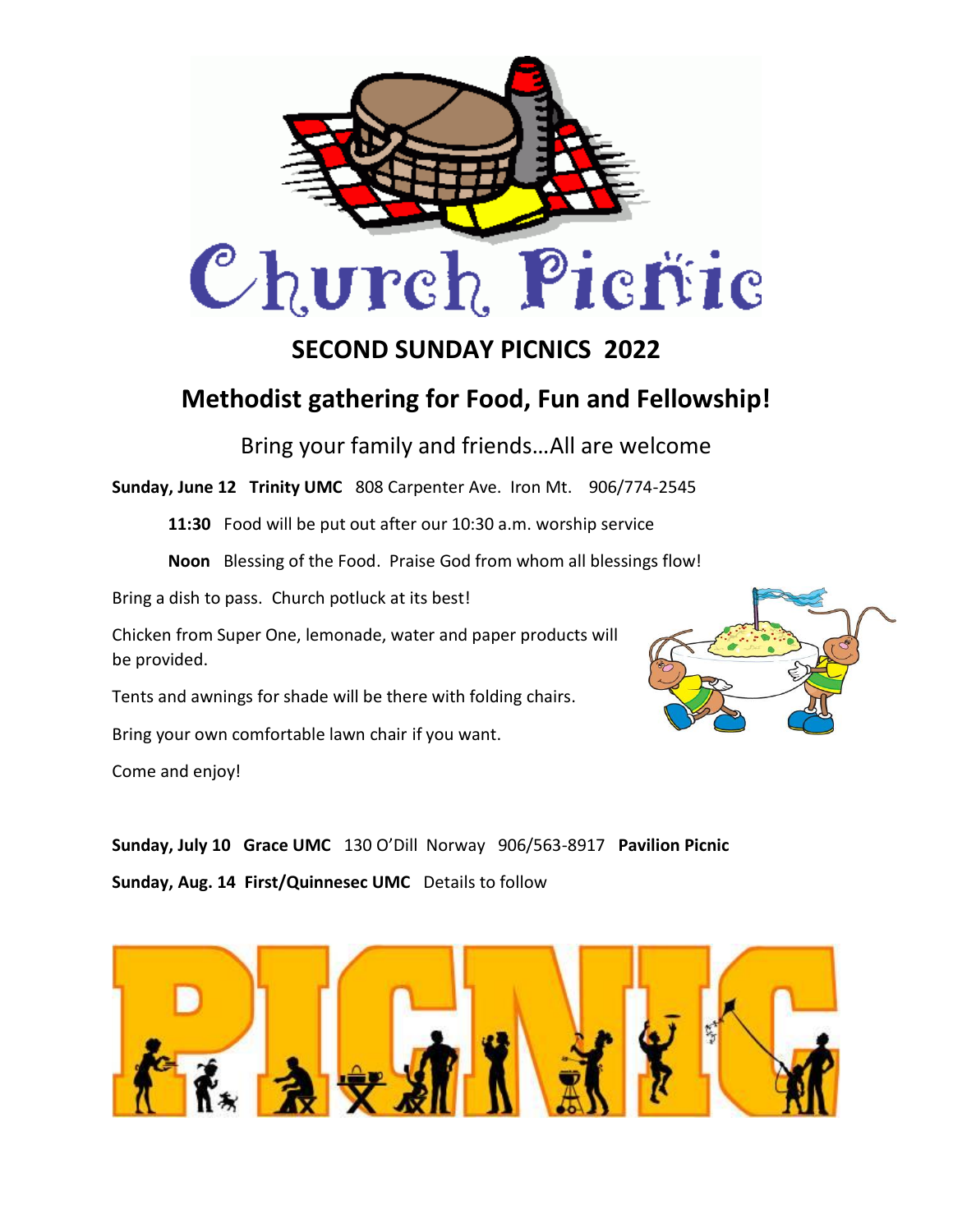

## **SECOND SUNDAY PICNICS 2022**

## **Methodist gathering for Food, Fun and Fellowship!**

Bring your family and friends…All are welcome

**Sunday, June 12 Trinity UMC** 808 Carpenter Ave. Iron Mt. 906/774-2545

**11:30** Food will be put out after our 10:30 a.m. worship service

**Noon** Blessing of the Food. Praise God from whom all blessings flow!

Bring a dish to pass. Church potluck at its best!

Chicken from Super One, lemonade, water and paper products will be provided.

Tents and awnings for shade will be there with folding chairs.

Bring your own comfortable lawn chair if you want.

Come and enjoy!



**Sunday, July 10 Grace UMC** 130 O'Dill Norway 906/563-8917 **Pavilion Picnic Sunday, Aug. 14 First/Quinnesec UMC** Details to follow